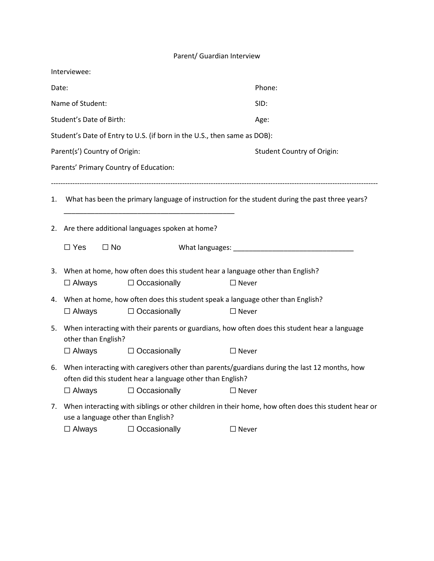## Parent/ Guardian Interview

| Interviewee:                                                             |                                                                                                                                                            |                     |                                                                                                                                                                                                                               |  |  |  |  |
|--------------------------------------------------------------------------|------------------------------------------------------------------------------------------------------------------------------------------------------------|---------------------|-------------------------------------------------------------------------------------------------------------------------------------------------------------------------------------------------------------------------------|--|--|--|--|
| Date:                                                                    |                                                                                                                                                            |                     | Phone:                                                                                                                                                                                                                        |  |  |  |  |
|                                                                          | Name of Student:                                                                                                                                           |                     | SID:                                                                                                                                                                                                                          |  |  |  |  |
|                                                                          | Student's Date of Birth:                                                                                                                                   |                     | Age:                                                                                                                                                                                                                          |  |  |  |  |
| Student's Date of Entry to U.S. (if born in the U.S., then same as DOB): |                                                                                                                                                            |                     |                                                                                                                                                                                                                               |  |  |  |  |
|                                                                          | Parent(s') Country of Origin:                                                                                                                              |                     | <b>Student Country of Origin:</b>                                                                                                                                                                                             |  |  |  |  |
|                                                                          | Parents' Primary Country of Education:                                                                                                                     |                     |                                                                                                                                                                                                                               |  |  |  |  |
| 1.                                                                       | What has been the primary language of instruction for the student during the past three years?                                                             |                     |                                                                                                                                                                                                                               |  |  |  |  |
| 2.                                                                       | Are there additional languages spoken at home?                                                                                                             |                     |                                                                                                                                                                                                                               |  |  |  |  |
|                                                                          | $\Box$ Yes<br>$\Box$ No                                                                                                                                    |                     | What languages: Management and the management of the state of the state of the state of the state of the state of the state of the state of the state of the state of the state of the state of the state of the state of the |  |  |  |  |
|                                                                          | 3. When at home, how often does this student hear a language other than English?<br>$\Box$ Occasionally<br>$\Box$ Always<br>$\Box$ Never                   |                     |                                                                                                                                                                                                                               |  |  |  |  |
|                                                                          | $\Box$ Always                                                                                                                                              | $\Box$ Occasionally | 4. When at home, how often does this student speak a language other than English?<br>$\Box$ Never                                                                                                                             |  |  |  |  |
| 5.                                                                       | When interacting with their parents or guardians, how often does this student hear a language<br>other than English?                                       |                     |                                                                                                                                                                                                                               |  |  |  |  |
|                                                                          | $\Box$ Always                                                                                                                                              | $\Box$ Occasionally | $\Box$ Never                                                                                                                                                                                                                  |  |  |  |  |
| 6.                                                                       | When interacting with caregivers other than parents/guardians during the last 12 months, how<br>often did this student hear a language other than English? |                     |                                                                                                                                                                                                                               |  |  |  |  |
|                                                                          | $\Box$ Always                                                                                                                                              | $\Box$ Occasionally | $\Box$ Never                                                                                                                                                                                                                  |  |  |  |  |
| 7.                                                                       | When interacting with siblings or other children in their home, how often does this student hear or<br>use a language other than English?                  |                     |                                                                                                                                                                                                                               |  |  |  |  |
|                                                                          | $\Box$ Always                                                                                                                                              | $\Box$ Occasionally | $\Box$ Never                                                                                                                                                                                                                  |  |  |  |  |